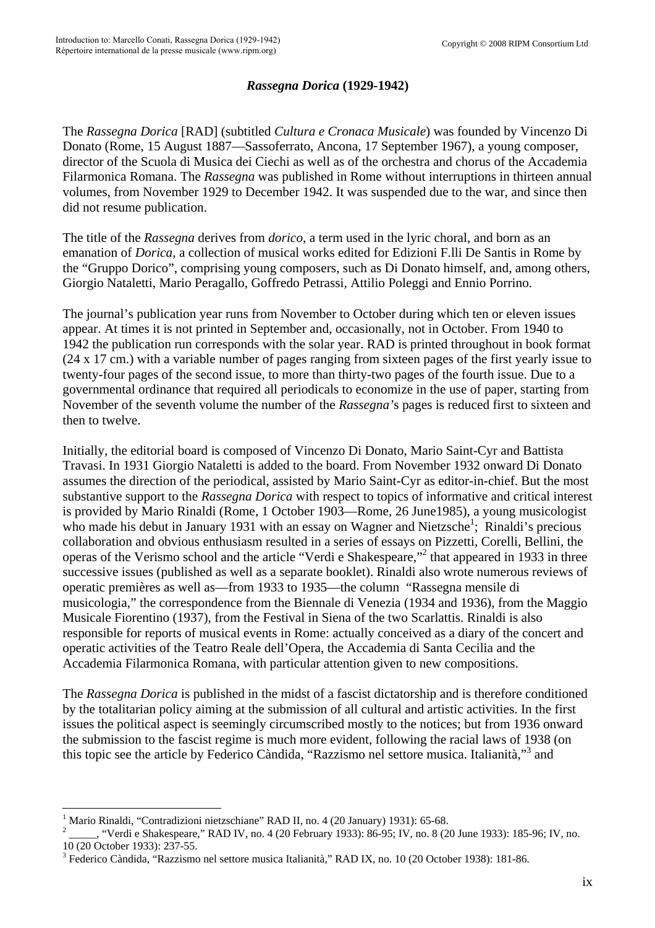## *Rassegna Dorica* **(1929-1942)**

The *Rassegna Dorica* [RAD] (subtitled *Cultura e Cronaca Musicale*) was founded by Vincenzo Di Donato (Rome, 15 August 1887—Sassoferrato, Ancona, 17 September 1967), a young composer, director of the Scuola di Musica dei Ciechi as well as of the orchestra and chorus of the Accademia Filarmonica Romana. The *Rassegna* was published in Rome without interruptions in thirteen annual volumes, from November 1929 to December 1942. It was suspended due to the war, and since then did not resume publication.

The title of the *Rassegna* derives from *dorico*, a term used in the lyric choral, and born as an emanation of *Dorica*, a collection of musical works edited for Edizioni F.lli De Santis in Rome by the "Gruppo Dorico", comprising young composers, such as Di Donato himself, and, among others, Giorgio Nataletti, Mario Peragallo, Goffredo Petrassi, Attilio Poleggi and Ennio Porrino.

The journal's publication year runs from November to October during which ten or eleven issues appear. At times it is not printed in September and, occasionally, not in October. From 1940 to 1942 the publication run corresponds with the solar year. RAD is printed throughout in book format (24 x 17 cm.) with a variable number of pages ranging from sixteen pages of the first yearly issue to twenty-four pages of the second issue, to more than thirty-two pages of the fourth issue. Due to a governmental ordinance that required all periodicals to economize in the use of paper, starting from November of the seventh volume the number of the *Rassegna'*s pages is reduced first to sixteen and then to twelve.

Initially, the editorial board is composed of Vincenzo Di Donato, Mario Saint-Cyr and Battista Travasi. In 1931 Giorgio Nataletti is added to the board. From November 1932 onward Di Donato assumes the direction of the periodical, assisted by Mario Saint-Cyr as editor-in-chief. But the most substantive support to the *Rassegna Dorica* with respect to topics of informative and critical interest is provided by Mario Rinaldi (Rome, 1 October 1903—Rome, 26 June1985), a young musicologist who made his debut in January [1](#page-0-0)931 with an essay on Wagner and Nietzsche<sup>1</sup>; Rinaldi's precious collaboration and obvious enthusiasm resulted in a series of essays on Pizzetti, Corelli, Bellini, the operas of the Verismo school and the article "Verdi e Shakespeare,"<sup>[2](#page-0-1)</sup> that appeared in 1933 in three successive issues (published as well as a separate booklet). Rinaldi also wrote numerous reviews of operatic premières as well as—from 1933 to 1935—the column "Rassegna mensile di musicologia," the correspondence from the Biennale di Venezia (1934 and 1936), from the Maggio Musicale Fiorentino (1937), from the Festival in Siena of the two Scarlattis. Rinaldi is also responsible for reports of musical events in Rome: actually conceived as a diary of the concert and operatic activities of the Teatro Reale dell'Opera, the Accademia di Santa Cecilia and the Accademia Filarmonica Romana, with particular attention given to new compositions.

The *Rassegna Dorica* is published in the midst of a fascist dictatorship and is therefore conditioned by the totalitarian policy aiming at the submission of all cultural and artistic activities. In the first issues the political aspect is seemingly circumscribed mostly to the notices; but from 1936 onward the submission to the fascist regime is much more evident, following the racial laws of 1938 (on this topic see the article by Federico Càndida, "Razzismo nel settore musica. Italianità,"[3](#page-0-2) and

<span id="page-0-0"></span><sup>1</sup> Mario Rinaldi, "Contradizioni nietzschiane" RAD II, no. 4 (20 January) 1931): 65-68.

<span id="page-0-1"></span><sup>2</sup> \_\_\_\_\_, "Verdi e Shakespeare," RAD IV, no. 4 (20 February 1933): 86-95; IV, no. 8 (20 June 1933): 185-96; IV, no. 10 (20 October 1933): 237-55.

<span id="page-0-2"></span><sup>3</sup> Federico Càndida, "Razzismo nel settore musica Italianità," RAD IX, no. 10 (20 October 1938): 181-86.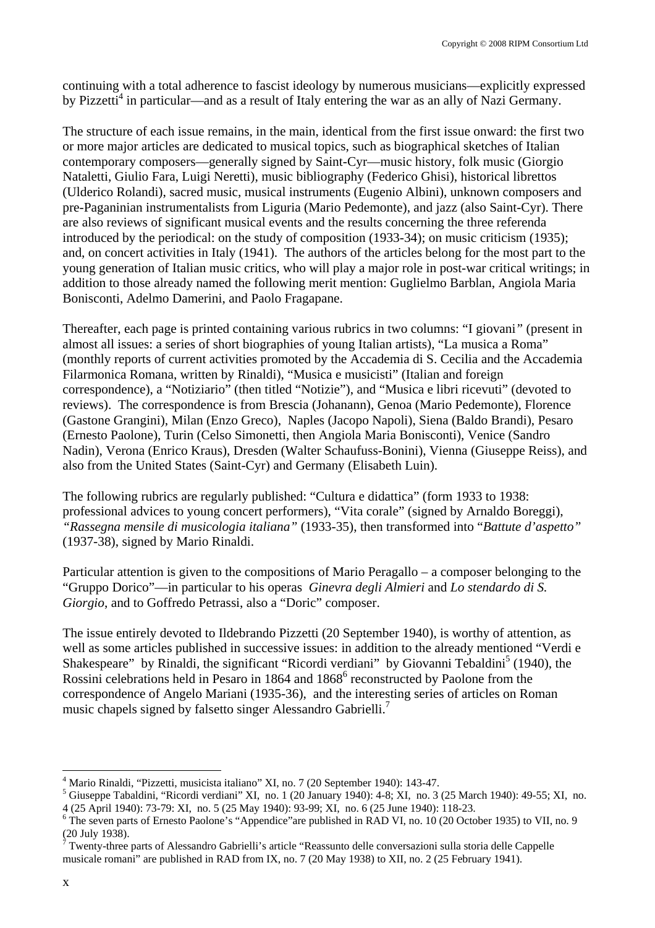continuing with a total adherence to fascist ideology by numerous musicians—explicitly expressed by Pizzetti<sup>[4](#page-1-0)</sup> in particular—and as a result of Italy entering the war as an ally of Nazi Germany.

The structure of each issue remains, in the main, identical from the first issue onward: the first two or more major articles are dedicated to musical topics, such as biographical sketches of Italian contemporary composers—generally signed by Saint-Cyr—music history, folk music (Giorgio Nataletti, Giulio Fara, Luigi Neretti), music bibliography (Federico Ghisi), historical librettos (Ulderico Rolandi), sacred music, musical instruments (Eugenio Albini), unknown composers and pre-Paganinian instrumentalists from Liguria (Mario Pedemonte), and jazz (also Saint-Cyr). There are also reviews of significant musical events and the results concerning the three referenda introduced by the periodical: on the study of composition (1933-34); on music criticism (1935); and, on concert activities in Italy (1941). The authors of the articles belong for the most part to the young generation of Italian music critics, who will play a major role in post-war critical writings; in addition to those already named the following merit mention: Guglielmo Barblan, Angiola Maria Bonisconti, Adelmo Damerini, and Paolo Fragapane.

Thereafter, each page is printed containing various rubrics in two columns: "I giovani*"* (present in almost all issues: a series of short biographies of young Italian artists), "La musica a Roma" (monthly reports of current activities promoted by the Accademia di S. Cecilia and the Accademia Filarmonica Romana, written by Rinaldi), "Musica e musicisti" (Italian and foreign correspondence), a "Notiziario" (then titled "Notizie"), and "Musica e libri ricevuti" (devoted to reviews). The correspondence is from Brescia (Johanann), Genoa (Mario Pedemonte), Florence (Gastone Grangini), Milan (Enzo Greco), Naples (Jacopo Napoli), Siena (Baldo Brandi), Pesaro (Ernesto Paolone), Turin (Celso Simonetti, then Angiola Maria Bonisconti), Venice (Sandro Nadin), Verona (Enrico Kraus), Dresden (Walter Schaufuss-Bonini), Vienna (Giuseppe Reiss), and also from the United States (Saint-Cyr) and Germany (Elisabeth Luin).

The following rubrics are regularly published: "Cultura e didattica" (form 1933 to 1938: professional advices to young concert performers), "Vita corale" (signed by Arnaldo Boreggi), *"Rassegna mensile di musicologia italiana"* (1933-35), then transformed into "*Battute d'aspetto"* (1937-38), signed by Mario Rinaldi.

Particular attention is given to the compositions of Mario Peragallo – a composer belonging to the "Gruppo Dorico"—in particular to his operas *Ginevra degli Almieri* and *Lo stendardo di S. Giorgio*, and to Goffredo Petrassi, also a "Doric" composer.

The issue entirely devoted to Ildebrando Pizzetti (20 September 1940), is worthy of attention, as well as some articles published in successive issues: in addition to the already mentioned "Verdi e Shakespeare" by Rinaldi, the significant "Ricordi verdiani" by Giovanni Tebaldini<sup>[5](#page-1-1)</sup> (1940), the Rossini celebrations held in Pesaro in 1864 and 1868<sup>6</sup> [r](#page-1-2)econstructed by Paolone from the correspondence of Angelo Mariani (1935-36), and the interesting series of articles on Roman music chapels signed by falsetto singer Alessandro Gabrielli.<sup>7</sup>

 $\overline{a}$ 

<span id="page-1-0"></span><sup>&</sup>lt;sup>4</sup> Mario Rinaldi, "Pizzetti, musicista italiano" XI, no. 7 (20 September 1940): 143-47.

<span id="page-1-1"></span> $<sup>5</sup>$  Giuseppe Tabaldini, "Ricordi verdiani" XI, no. 1 (20 January 1940): 4-8; XI, no. 3 (25 March 1940): 49-55; XI, no.</sup>

<span id="page-1-2"></span><sup>4 (25</sup> April 1940): 73-79: XI, no. 5 (25 May 1940): 93-99; XI, no. 6 (25 June 1940): 118-23.<br><sup>6</sup> The seven parts of Ernesto Paolone's "Appendice"are published in RAD VI, no. 10 (20 October 1935) to VII, no. 9 (20 July 1938).<br><sup>7</sup> Twenty-three parts of Alessandro Gabrielli's article "Reassunto delle conversazioni sulla storia delle Cappelle

<span id="page-1-3"></span>musicale romani" are published in RAD from IX, no. 7 (20 May 1938) to XII, no. 2 (25 February 1941).